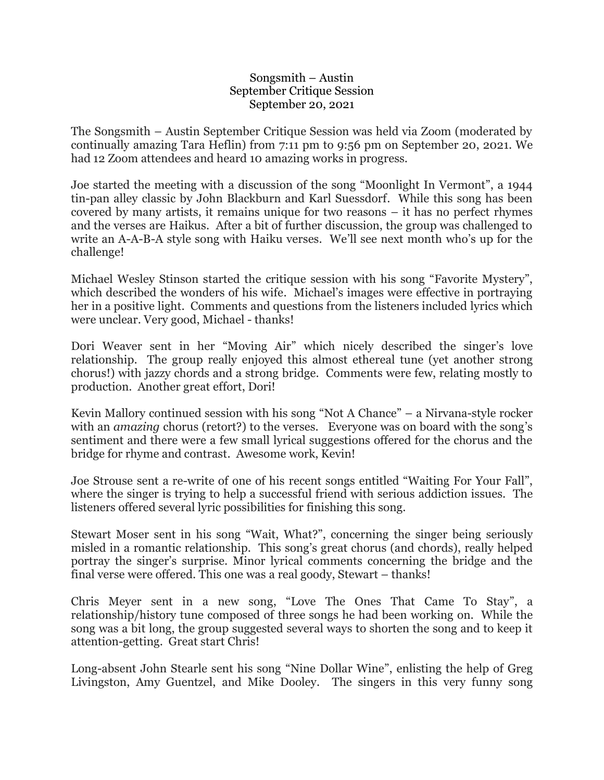## Songsmith – Austin September Critique Session September 20, 2021

The Songsmith – Austin September Critique Session was held via Zoom (moderated by continually amazing Tara Heflin) from 7:11 pm to 9:56 pm on September 20, 2021. We had 12 Zoom attendees and heard 10 amazing works in progress.

Joe started the meeting with a discussion of the song "Moonlight In Vermont", a 1944 tin-pan alley classic by John Blackburn and Karl Suessdorf. While this song has been covered by many artists, it remains unique for two reasons – it has no perfect rhymes and the verses are Haikus. After a bit of further discussion, the group was challenged to write an A-A-B-A style song with Haiku verses. We'll see next month who's up for the challenge!

Michael Wesley Stinson started the critique session with his song "Favorite Mystery", which described the wonders of his wife. Michael's images were effective in portraying her in a positive light. Comments and questions from the listeners included lyrics which were unclear. Very good, Michael - thanks!

Dori Weaver sent in her "Moving Air" which nicely described the singer's love relationship. The group really enjoyed this almost ethereal tune (yet another strong chorus!) with jazzy chords and a strong bridge. Comments were few, relating mostly to production. Another great effort, Dori!

Kevin Mallory continued session with his song "Not A Chance" – a Nirvana-style rocker with an *amazing* chorus (retort?) to the verses. Everyone was on board with the song's sentiment and there were a few small lyrical suggestions offered for the chorus and the bridge for rhyme and contrast. Awesome work, Kevin!

Joe Strouse sent a re-write of one of his recent songs entitled "Waiting For Your Fall", where the singer is trying to help a successful friend with serious addiction issues. The listeners offered several lyric possibilities for finishing this song.

Stewart Moser sent in his song "Wait, What?", concerning the singer being seriously misled in a romantic relationship. This song's great chorus (and chords), really helped portray the singer's surprise. Minor lyrical comments concerning the bridge and the final verse were offered. This one was a real goody, Stewart – thanks!

Chris Meyer sent in a new song, "Love The Ones That Came To Stay", a relationship/history tune composed of three songs he had been working on. While the song was a bit long, the group suggested several ways to shorten the song and to keep it attention-getting. Great start Chris!

Long-absent John Stearle sent his song "Nine Dollar Wine", enlisting the help of Greg Livingston, Amy Guentzel, and Mike Dooley. The singers in this very funny song